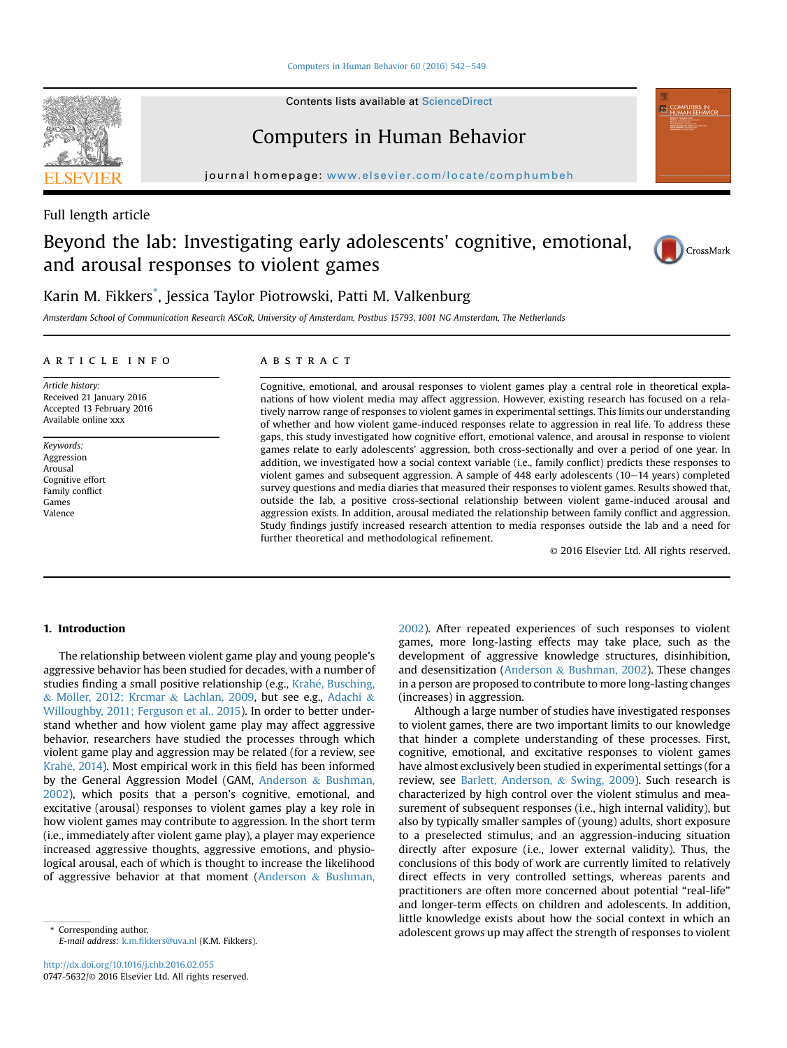Computers in Human Behavior 60 (2016)  $542-549$  $542-549$ 

Contents lists available at ScienceDirect

## Computers in Human Behavior

journal homepage: <www.elsevier.com/locate/comphumbeh>

Full length article

# Beyond the lab: Investigating early adolescents' cognitive, emotional, and arousal responses to violent games



## Karin M. Fikkers\* , Jessica Taylor Piotrowski, Patti M. Valkenburg

Amsterdam School of Communication Research ASCoR, University of Amsterdam, Postbus 15793, 1001 NG Amsterdam, The Netherlands

## article info

Article history: Received 21 January 2016 Accepted 13 February 2016 Available online xxx

Keywords: Aggression Arousal Cognitive effort Family conflict Games Valence

## **ABSTRACT**

Cognitive, emotional, and arousal responses to violent games play a central role in theoretical explanations of how violent media may affect aggression. However, existing research has focused on a relatively narrow range of responses to violent games in experimental settings. This limits our understanding of whether and how violent game-induced responses relate to aggression in real life. To address these gaps, this study investigated how cognitive effort, emotional valence, and arousal in response to violent games relate to early adolescents' aggression, both cross-sectionally and over a period of one year. In addition, we investigated how a social context variable (i.e., family conflict) predicts these responses to violent games and subsequent aggression. A sample of  $448$  early adolescents  $(10-14$  years) completed survey questions and media diaries that measured their responses to violent games. Results showed that, outside the lab, a positive cross-sectional relationship between violent game-induced arousal and aggression exists. In addition, arousal mediated the relationship between family conflict and aggression. Study findings justify increased research attention to media responses outside the lab and a need for further theoretical and methodological refinement.

© 2016 Elsevier Ltd. All rights reserved.

## 1. Introduction

The relationship between violent game play and young people's aggressive behavior has been studied for decades, with a number of studies finding a small positive relationship (e.g., Krahé, Busching,  $&$  Möller, 2012; Krcmar  $&$  [Lachlan, 2009](#page-7-0), but see e.g., [Adachi](#page-6-0)  $&$ [Willoughby, 2011; Ferguson et al., 2015](#page-6-0)). In order to better understand whether and how violent game play may affect aggressive behavior, researchers have studied the processes through which violent game play and aggression may be related (for a review, see Krahé, 2014). Most empirical work in this field has been informed by the General Aggression Model (GAM, [Anderson](#page-6-0) & [Bushman,](#page-6-0) [2002](#page-6-0)), which posits that a person's cognitive, emotional, and excitative (arousal) responses to violent games play a key role in how violent games may contribute to aggression. In the short term (i.e., immediately after violent game play), a player may experience increased aggressive thoughts, aggressive emotions, and physiological arousal, each of which is thought to increase the likelihood of aggressive behavior at that moment [\(Anderson](#page-6-0)  $&$  [Bushman,](#page-6-0) [2002](#page-6-0)). After repeated experiences of such responses to violent games, more long-lasting effects may take place, such as the development of aggressive knowledge structures, disinhibition, and desensitization ([Anderson](#page-6-0) & [Bushman, 2002\)](#page-6-0). These changes in a person are proposed to contribute to more long-lasting changes (increases) in aggression.

Although a large number of studies have investigated responses to violent games, there are two important limits to our knowledge that hinder a complete understanding of these processes. First, cognitive, emotional, and excitative responses to violent games have almost exclusively been studied in experimental settings (for a review, see [Barlett, Anderson,](#page-6-0) & [Swing, 2009](#page-6-0)). Such research is characterized by high control over the violent stimulus and measurement of subsequent responses (i.e., high internal validity), but also by typically smaller samples of (young) adults, short exposure to a preselected stimulus, and an aggression-inducing situation directly after exposure (i.e., lower external validity). Thus, the conclusions of this body of work are currently limited to relatively direct effects in very controlled settings, whereas parents and practitioners are often more concerned about potential "real-life" and longer-term effects on children and adolescents. In addition, little knowledge exists about how the social context in which an adolescent grows up may affect the strength of responses to violent \* Corresponding author.

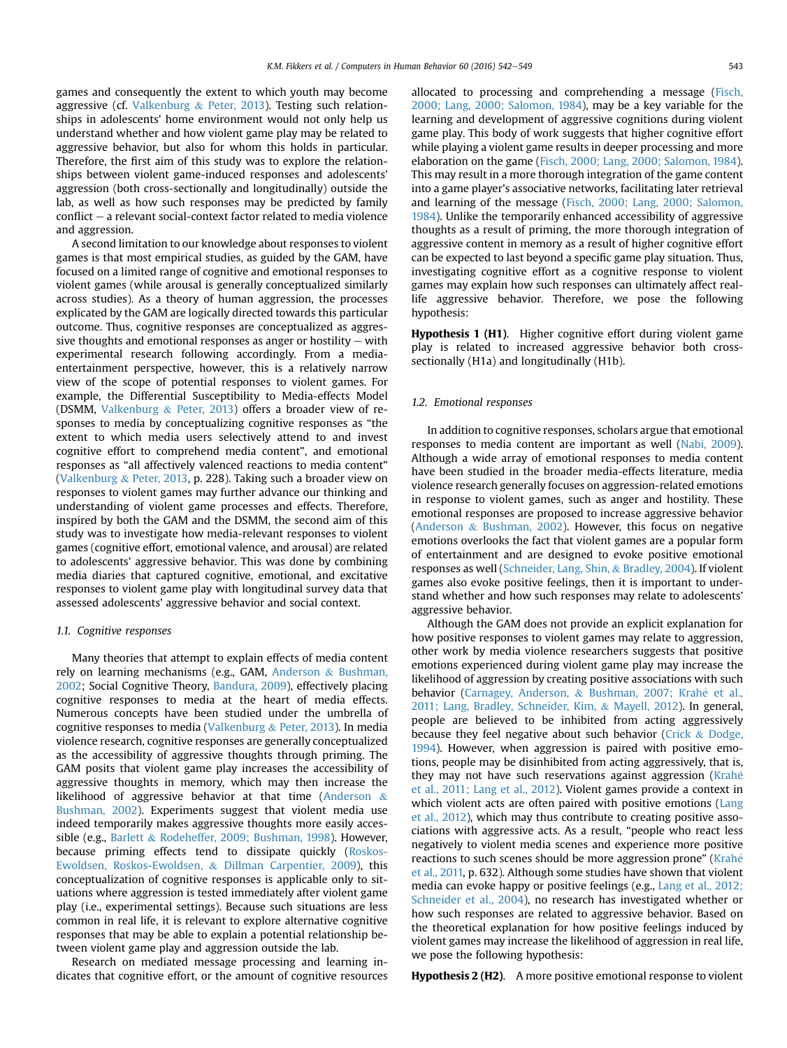games and consequently the extent to which youth may become aggressive (cf. [Valkenburg](#page-7-0) & [Peter, 2013\)](#page-7-0). Testing such relationships in adolescents' home environment would not only help us understand whether and how violent game play may be related to aggressive behavior, but also for whom this holds in particular. Therefore, the first aim of this study was to explore the relationships between violent game-induced responses and adolescents' aggression (both cross-sectionally and longitudinally) outside the lab, as well as how such responses may be predicted by family  $conflict - a relevant social-context factor related to media violence$ and aggression.

A second limitation to our knowledge about responses to violent games is that most empirical studies, as guided by the GAM, have focused on a limited range of cognitive and emotional responses to violent games (while arousal is generally conceptualized similarly across studies). As a theory of human aggression, the processes explicated by the GAM are logically directed towards this particular outcome. Thus, cognitive responses are conceptualized as aggressive thoughts and emotional responses as anger or hostility  $-$  with experimental research following accordingly. From a mediaentertainment perspective, however, this is a relatively narrow view of the scope of potential responses to violent games. For example, the Differential Susceptibility to Media-effects Model (DSMM, [Valkenburg](#page-7-0) & [Peter, 2013\)](#page-7-0) offers a broader view of responses to media by conceptualizing cognitive responses as "the extent to which media users selectively attend to and invest cognitive effort to comprehend media content", and emotional responses as "all affectively valenced reactions to media content" ([Valkenburg](#page-7-0) & [Peter, 2013](#page-7-0), p. 228). Taking such a broader view on responses to violent games may further advance our thinking and understanding of violent game processes and effects. Therefore, inspired by both the GAM and the DSMM, the second aim of this study was to investigate how media-relevant responses to violent games (cognitive effort, emotional valence, and arousal) are related to adolescents' aggressive behavior. This was done by combining media diaries that captured cognitive, emotional, and excitative responses to violent game play with longitudinal survey data that assessed adolescents' aggressive behavior and social context.

#### 1.1. Cognitive responses

Many theories that attempt to explain effects of media content rely on learning mechanisms (e.g., GAM, [Anderson](#page-6-0) & [Bushman,](#page-6-0) [2002;](#page-6-0) Social Cognitive Theory, [Bandura, 2009\)](#page-6-0), effectively placing cognitive responses to media at the heart of media effects. Numerous concepts have been studied under the umbrella of cognitive responses to media [\(Valkenburg](#page-7-0) & [Peter, 2013](#page-7-0)). In media violence research, cognitive responses are generally conceptualized as the accessibility of aggressive thoughts through priming. The GAM posits that violent game play increases the accessibility of aggressive thoughts in memory, which may then increase the likelihood of aggressive behavior at that time ([Anderson](#page-6-0) & [Bushman, 2002](#page-6-0)). Experiments suggest that violent media use indeed temporarily makes aggressive thoughts more easily accessible (e.g., [Barlett](#page-7-0) & [Rodeheffer, 2009; Bushman, 1998](#page-7-0)). However, because priming effects tend to dissipate quickly [\(Roskos-](#page-7-0)[Ewoldsen, Roskos-Ewoldsen,](#page-7-0) & [Dillman Carpentier, 2009\)](#page-7-0), this conceptualization of cognitive responses is applicable only to situations where aggression is tested immediately after violent game play (i.e., experimental settings). Because such situations are less common in real life, it is relevant to explore alternative cognitive responses that may be able to explain a potential relationship between violent game play and aggression outside the lab.

Research on mediated message processing and learning indicates that cognitive effort, or the amount of cognitive resources allocated to processing and comprehending a message ([Fisch,](#page-7-0) [2000; Lang, 2000; Salomon, 1984\)](#page-7-0), may be a key variable for the learning and development of aggressive cognitions during violent game play. This body of work suggests that higher cognitive effort while playing a violent game results in deeper processing and more elaboration on the game ([Fisch, 2000; Lang, 2000; Salomon, 1984\)](#page-7-0). This may result in a more thorough integration of the game content into a game player's associative networks, facilitating later retrieval and learning of the message ([Fisch, 2000; Lang, 2000; Salomon,](#page-7-0) [1984\)](#page-7-0). Unlike the temporarily enhanced accessibility of aggressive thoughts as a result of priming, the more thorough integration of aggressive content in memory as a result of higher cognitive effort can be expected to last beyond a specific game play situation. Thus, investigating cognitive effort as a cognitive response to violent games may explain how such responses can ultimately affect reallife aggressive behavior. Therefore, we pose the following hypothesis:

Hypothesis 1 (H1). Higher cognitive effort during violent game play is related to increased aggressive behavior both crosssectionally (H1a) and longitudinally (H1b).

### 1.2. Emotional responses

In addition to cognitive responses, scholars argue that emotional responses to media content are important as well [\(Nabi, 2009\)](#page-7-0). Although a wide array of emotional responses to media content have been studied in the broader media-effects literature, media violence research generally focuses on aggression-related emotions in response to violent games, such as anger and hostility. These emotional responses are proposed to increase aggressive behavior ([Anderson](#page-6-0) & [Bushman, 2002\)](#page-6-0). However, this focus on negative emotions overlooks the fact that violent games are a popular form of entertainment and are designed to evoke positive emotional responses as well [\(Schneider, Lang, Shin,](#page-7-0) & [Bradley, 2004\)](#page-7-0). If violent games also evoke positive feelings, then it is important to understand whether and how such responses may relate to adolescents' aggressive behavior.

Although the GAM does not provide an explicit explanation for how positive responses to violent games may relate to aggression, other work by media violence researchers suggests that positive emotions experienced during violent game play may increase the likelihood of aggression by creating positive associations with such behavior ([Carnagey, Anderson,](#page-7-0) & [Bushman, 2007; Krahe et al.,](#page-7-0) [2011; Lang, Bradley, Schneider, Kim,](#page-7-0) & [Mayell, 2012\)](#page-7-0). In general, people are believed to be inhibited from acting aggressively because they feel negative about such behavior ([Crick](#page-7-0) & [Dodge,](#page-7-0) [1994\)](#page-7-0). However, when aggression is paired with positive emotions, people may be disinhibited from acting aggressively, that is, they may not have such reservations against aggression [\(Krah](#page-7-0)é [et al., 2011; Lang et al., 2012\)](#page-7-0). Violent games provide a context in which violent acts are often paired with positive emotions ([Lang](#page-7-0) [et al., 2012](#page-7-0)), which may thus contribute to creating positive associations with aggressive acts. As a result, "people who react less negatively to violent media scenes and experience more positive reactions to such scenes should be more aggression prone" [\(Krah](#page-7-0)é [et al., 2011,](#page-7-0) p. 632). Although some studies have shown that violent media can evoke happy or positive feelings (e.g., [Lang et al., 2012;](#page-7-0) [Schneider et al., 2004](#page-7-0)), no research has investigated whether or how such responses are related to aggressive behavior. Based on the theoretical explanation for how positive feelings induced by violent games may increase the likelihood of aggression in real life, we pose the following hypothesis:

Hypothesis 2 (H2). A more positive emotional response to violent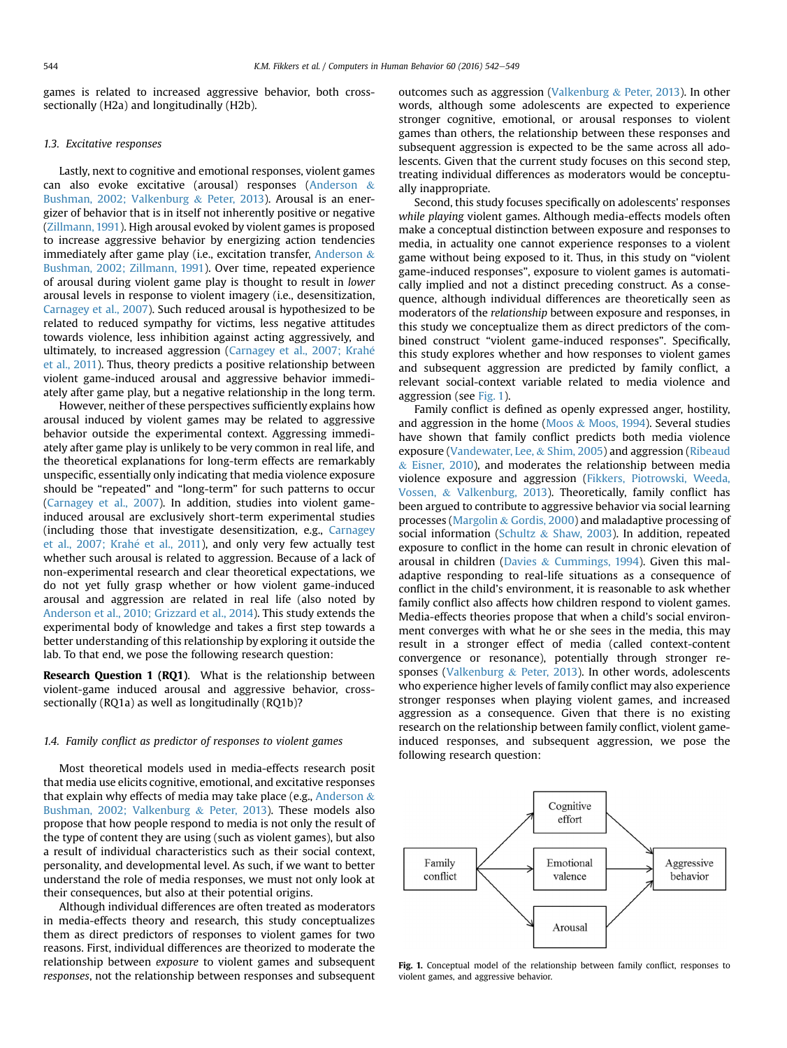games is related to increased aggressive behavior, both crosssectionally (H2a) and longitudinally (H2b).

## 1.3. Excitative responses

Lastly, next to cognitive and emotional responses, violent games can also evoke excitative (arousal) responses [\(Anderson](#page-6-0) & [Bushman, 2002; Valkenburg](#page-6-0) & [Peter, 2013](#page-6-0)). Arousal is an energizer of behavior that is in itself not inherently positive or negative ([Zillmann, 1991\)](#page-7-0). High arousal evoked by violent games is proposed to increase aggressive behavior by energizing action tendencies immediately after game play (i.e., excitation transfer, [Anderson](#page-6-0)  $\&$ [Bushman, 2002; Zillmann, 1991\)](#page-6-0). Over time, repeated experience of arousal during violent game play is thought to result in lower arousal levels in response to violent imagery (i.e., desensitization, [Carnagey et al., 2007](#page-7-0)). Such reduced arousal is hypothesized to be related to reduced sympathy for victims, less negative attitudes towards violence, less inhibition against acting aggressively, and ultimately, to increased aggression [\(Carnagey et al., 2007; Krahe](#page-7-0) [et al., 2011\)](#page-7-0). Thus, theory predicts a positive relationship between violent game-induced arousal and aggressive behavior immediately after game play, but a negative relationship in the long term.

However, neither of these perspectives sufficiently explains how arousal induced by violent games may be related to aggressive behavior outside the experimental context. Aggressing immediately after game play is unlikely to be very common in real life, and the theoretical explanations for long-term effects are remarkably unspecific, essentially only indicating that media violence exposure should be "repeated" and "long-term" for such patterns to occur ([Carnagey et al., 2007](#page-7-0)). In addition, studies into violent gameinduced arousal are exclusively short-term experimental studies (including those that investigate desensitization, e.g., [Carnagey](#page-7-0) [et al., 2007; Krah](#page-7-0)é [et al., 2011](#page-7-0)), and only very few actually test whether such arousal is related to aggression. Because of a lack of non-experimental research and clear theoretical expectations, we do not yet fully grasp whether or how violent game-induced arousal and aggression are related in real life (also noted by [Anderson et al., 2010; Grizzard et al., 2014\)](#page-6-0). This study extends the experimental body of knowledge and takes a first step towards a better understanding of this relationship by exploring it outside the lab. To that end, we pose the following research question:

Research Question 1 (RQ1). What is the relationship between violent-game induced arousal and aggressive behavior, crosssectionally (RQ1a) as well as longitudinally (RQ1b)?

## 1.4. Family conflict as predictor of responses to violent games

Most theoretical models used in media-effects research posit that media use elicits cognitive, emotional, and excitative responses that explain why effects of media may take place (e.g., [Anderson](#page-6-0)  $\&$ [Bushman, 2002; Valkenburg](#page-6-0) & [Peter, 2013](#page-6-0)). These models also propose that how people respond to media is not only the result of the type of content they are using (such as violent games), but also a result of individual characteristics such as their social context, personality, and developmental level. As such, if we want to better understand the role of media responses, we must not only look at their consequences, but also at their potential origins.

Although individual differences are often treated as moderators in media-effects theory and research, this study conceptualizes them as direct predictors of responses to violent games for two reasons. First, individual differences are theorized to moderate the relationship between exposure to violent games and subsequent responses, not the relationship between responses and subsequent outcomes such as aggression ([Valkenburg](#page-7-0) & [Peter, 2013\)](#page-7-0). In other words, although some adolescents are expected to experience stronger cognitive, emotional, or arousal responses to violent games than others, the relationship between these responses and subsequent aggression is expected to be the same across all adolescents. Given that the current study focuses on this second step, treating individual differences as moderators would be conceptually inappropriate.

Second, this study focuses specifically on adolescents' responses while playing violent games. Although media-effects models often make a conceptual distinction between exposure and responses to media, in actuality one cannot experience responses to a violent game without being exposed to it. Thus, in this study on "violent game-induced responses", exposure to violent games is automatically implied and not a distinct preceding construct. As a consequence, although individual differences are theoretically seen as moderators of the relationship between exposure and responses, in this study we conceptualize them as direct predictors of the combined construct "violent game-induced responses". Specifically, this study explores whether and how responses to violent games and subsequent aggression are predicted by family conflict, a relevant social-context variable related to media violence and aggression (see Fig. 1).

Family conflict is defined as openly expressed anger, hostility, and aggression in the home [\(Moos](#page-7-0)  $\&$  [Moos, 1994\)](#page-7-0). Several studies have shown that family conflict predicts both media violence exposure [\(Vandewater, Lee,](#page-7-0) & [Shim, 2005\)](#page-7-0) and aggression [\(Ribeaud](#page-7-0)  $&$  [Eisner, 2010](#page-7-0)), and moderates the relationship between media violence exposure and aggression [\(Fikkers, Piotrowski, Weeda,](#page-7-0) [Vossen,](#page-7-0) & [Valkenburg, 2013](#page-7-0)). Theoretically, family conflict has been argued to contribute to aggressive behavior via social learning processes ([Margolin](#page-7-0) & [Gordis, 2000\)](#page-7-0) and maladaptive processing of social information ([Schultz](#page-7-0) & [Shaw, 2003](#page-7-0)). In addition, repeated exposure to conflict in the home can result in chronic elevation of arousal in children ([Davies](#page-7-0) & [Cummings, 1994\)](#page-7-0). Given this maladaptive responding to real-life situations as a consequence of conflict in the child's environment, it is reasonable to ask whether family conflict also affects how children respond to violent games. Media-effects theories propose that when a child's social environment converges with what he or she sees in the media, this may result in a stronger effect of media (called context-content convergence or resonance), potentially through stronger responses ([Valkenburg](#page-7-0) & [Peter, 2013](#page-7-0)). In other words, adolescents who experience higher levels of family conflict may also experience stronger responses when playing violent games, and increased aggression as a consequence. Given that there is no existing research on the relationship between family conflict, violent gameinduced responses, and subsequent aggression, we pose the following research question:



Fig. 1. Conceptual model of the relationship between family conflict, responses to violent games, and aggressive behavior.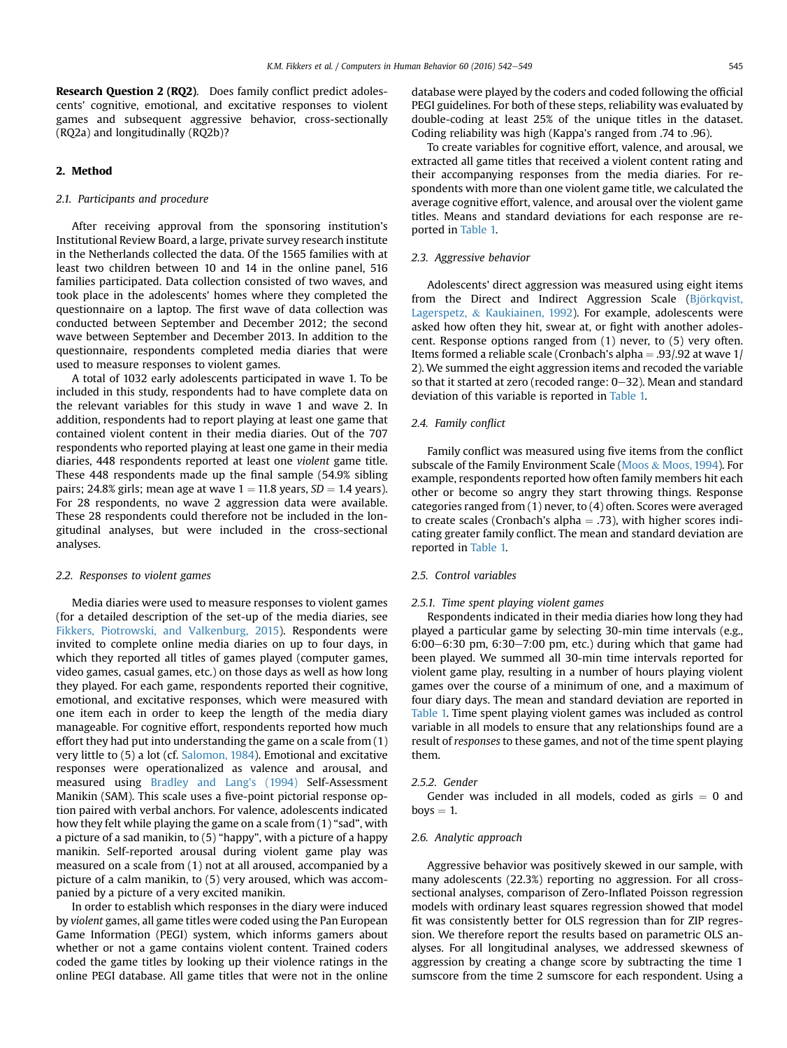Research Question 2 (RQ2). Does family conflict predict adolescents' cognitive, emotional, and excitative responses to violent games and subsequent aggressive behavior, cross-sectionally (RQ2a) and longitudinally (RQ2b)?

## 2. Method

## 2.1. Participants and procedure

After receiving approval from the sponsoring institution's Institutional Review Board, a large, private survey research institute in the Netherlands collected the data. Of the 1565 families with at least two children between 10 and 14 in the online panel, 516 families participated. Data collection consisted of two waves, and took place in the adolescents' homes where they completed the questionnaire on a laptop. The first wave of data collection was conducted between September and December 2012; the second wave between September and December 2013. In addition to the questionnaire, respondents completed media diaries that were used to measure responses to violent games.

A total of 1032 early adolescents participated in wave 1. To be included in this study, respondents had to have complete data on the relevant variables for this study in wave 1 and wave 2. In addition, respondents had to report playing at least one game that contained violent content in their media diaries. Out of the 707 respondents who reported playing at least one game in their media diaries, 448 respondents reported at least one violent game title. These 448 respondents made up the final sample (54.9% sibling pairs; 24.8% girls; mean age at wave  $1 = 11.8$  years,  $SD = 1.4$  years). For 28 respondents, no wave 2 aggression data were available. These 28 respondents could therefore not be included in the longitudinal analyses, but were included in the cross-sectional analyses.

#### 2.2. Responses to violent games

Media diaries were used to measure responses to violent games (for a detailed description of the set-up of the media diaries, see [Fikkers, Piotrowski, and Valkenburg, 2015](#page-7-0)). Respondents were invited to complete online media diaries on up to four days, in which they reported all titles of games played (computer games, video games, casual games, etc.) on those days as well as how long they played. For each game, respondents reported their cognitive, emotional, and excitative responses, which were measured with one item each in order to keep the length of the media diary manageable. For cognitive effort, respondents reported how much effort they had put into understanding the game on a scale from (1) very little to (5) a lot (cf. [Salomon, 1984\)](#page-7-0). Emotional and excitative responses were operationalized as valence and arousal, and measured using [Bradley and Lang's \(1994\)](#page-7-0) Self-Assessment Manikin (SAM). This scale uses a five-point pictorial response option paired with verbal anchors. For valence, adolescents indicated how they felt while playing the game on a scale from (1) "sad", with a picture of a sad manikin, to (5) "happy", with a picture of a happy manikin. Self-reported arousal during violent game play was measured on a scale from (1) not at all aroused, accompanied by a picture of a calm manikin, to (5) very aroused, which was accompanied by a picture of a very excited manikin.

In order to establish which responses in the diary were induced by violent games, all game titles were coded using the Pan European Game Information (PEGI) system, which informs gamers about whether or not a game contains violent content. Trained coders coded the game titles by looking up their violence ratings in the online PEGI database. All game titles that were not in the online database were played by the coders and coded following the official PEGI guidelines. For both of these steps, reliability was evaluated by double-coding at least 25% of the unique titles in the dataset. Coding reliability was high (Kappa's ranged from .74 to .96).

To create variables for cognitive effort, valence, and arousal, we extracted all game titles that received a violent content rating and their accompanying responses from the media diaries. For respondents with more than one violent game title, we calculated the average cognitive effort, valence, and arousal over the violent game titles. Means and standard deviations for each response are reported in [Table 1.](#page-4-0)

## 2.3. Aggressive behavior

Adolescents' direct aggression was measured using eight items from the Direct and Indirect Aggression Scale (Björkqvist, [Lagerspetz,](#page-7-0) & [Kaukiainen, 1992\)](#page-7-0). For example, adolescents were asked how often they hit, swear at, or fight with another adolescent. Response options ranged from (1) never, to (5) very often. Items formed a reliable scale (Cronbach's alpha =  $.93/.92$  at wave 1/ 2). We summed the eight aggression items and recoded the variable so that it started at zero (recoded range:  $0-32$ ). Mean and standard deviation of this variable is reported in [Table 1.](#page-4-0)

## 2.4. Family conflict

Family conflict was measured using five items from the conflict subscale of the Family Environment Scale ([Moos](#page-7-0) & [Moos, 1994\)](#page-7-0). For example, respondents reported how often family members hit each other or become so angry they start throwing things. Response categories ranged from (1) never, to (4) often. Scores were averaged to create scales (Cronbach's alpha  $= .73$ ), with higher scores indicating greater family conflict. The mean and standard deviation are reported in [Table 1.](#page-4-0)

#### 2.5. Control variables

#### 2.5.1. Time spent playing violent games

Respondents indicated in their media diaries how long they had played a particular game by selecting 30-min time intervals (e.g.,  $6:00-6:30$  pm,  $6:30-7:00$  pm, etc.) during which that game had been played. We summed all 30-min time intervals reported for violent game play, resulting in a number of hours playing violent games over the course of a minimum of one, and a maximum of four diary days. The mean and standard deviation are reported in [Table 1.](#page-4-0) Time spent playing violent games was included as control variable in all models to ensure that any relationships found are a result of responses to these games, and not of the time spent playing them.

## 2.5.2. Gender

Gender was included in all models, coded as girls  $= 0$  and boys  $= 1$ .

## 2.6. Analytic approach

Aggressive behavior was positively skewed in our sample, with many adolescents (22.3%) reporting no aggression. For all crosssectional analyses, comparison of Zero-Inflated Poisson regression models with ordinary least squares regression showed that model fit was consistently better for OLS regression than for ZIP regression. We therefore report the results based on parametric OLS analyses. For all longitudinal analyses, we addressed skewness of aggression by creating a change score by subtracting the time 1 sumscore from the time 2 sumscore for each respondent. Using a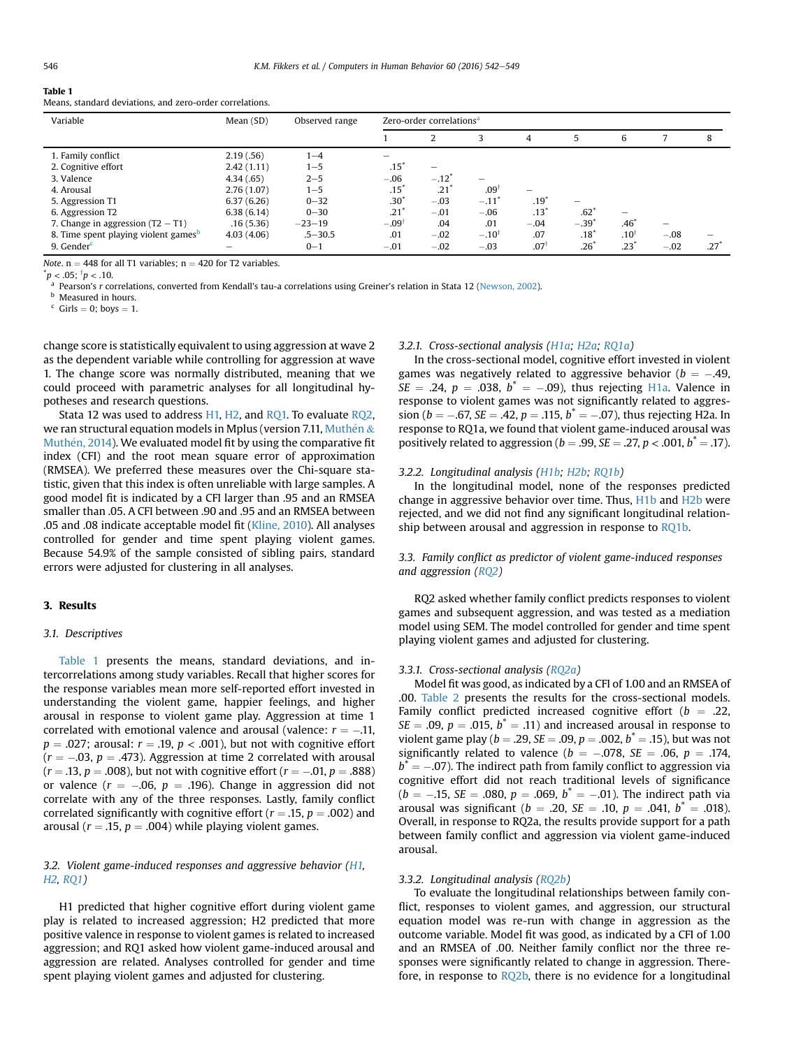#### <span id="page-4-0"></span>Table 1

| Means, standard deviations, and zero-order correlations. |  |  |
|----------------------------------------------------------|--|--|
|----------------------------------------------------------|--|--|

| Variable                                         | Mean(SD)   | Observed range | Zero-order correlations <sup>a</sup> |         |                          |                 |                          |                 |        |      |
|--------------------------------------------------|------------|----------------|--------------------------------------|---------|--------------------------|-----------------|--------------------------|-----------------|--------|------|
|                                                  |            |                |                                      | 2       |                          | 4               | 5                        | 6               |        | 8    |
| 1. Family conflict                               | 2.19(.56)  | $1 - 4$        | -                                    |         |                          |                 |                          |                 |        |      |
| 2. Cognitive effort                              | 2.42(1.11) | $1 - 5$        | .15'                                 |         |                          |                 |                          |                 |        |      |
| 3. Valence                                       | 4.34(.65)  | $2 - 5$        | $-.06$                               | $-.12"$ | $\overline{\phantom{a}}$ |                 |                          |                 |        |      |
| 4. Arousal                                       | 2.76(1.07) | $1 - 5$        | .15                                  | .21'    | $.09^{\dagger}$          | -               |                          |                 |        |      |
| 5. Aggression T1                                 | 6.37(6.26) | $0 - 32$       | .30 <sup>′</sup>                     | $-.03$  | $-.11$ <sup>'</sup>      | $.19^{^{o}}$    | $\overline{\phantom{0}}$ |                 |        |      |
| 6. Aggression T2                                 | 6.38(6.14) | $0 - 30$       | .21                                  | $-.01$  | $-.06$                   | $.13^*$         | .62                      | -               |        |      |
| 7. Change in aggression $(T2 - T1)$              | .16(5.36)  | $-23-19$       | $-.09†$                              | .04     | .01                      | $-.04$          | $-.39'$                  | $.46*$          |        |      |
| 8. Time spent playing violent games <sup>b</sup> | 4.03(4.06) | $.5 - 30.5$    | .01                                  | $-.02$  | $-.10^{\dagger}$         | .07             | $.18*$                   | $.10^{\dagger}$ | $-.08$ |      |
| 9. Gender <sup>c</sup>                           | -          | $0 - 1$        | $-.01$                               | $-.02$  | $-.03$                   | $.07^{\dagger}$ | $.26*$                   | $.23*$          | $-.02$ | .27' |

Note.  $n = 448$  for all T1 variables;  $n = 420$  for T2 variables.

 $p < .05; \, {}^{\scriptscriptstyle\uparrow} p < .10.$ 

<sup>a</sup> Pearson's r correlations, converted from Kendall's tau-a correlations using Greiner's relation in Stata 12 [\(Newson, 2002\)](#page-7-0).

**b** Measured in hours.

 $\epsilon$  Girls = 0; boys = 1.

change score is statistically equivalent to using aggression at wave 2 as the dependent variable while controlling for aggression at wave 1. The change score was normally distributed, meaning that we could proceed with parametric analyses for all longitudinal hypotheses and research questions.

Stata 12 was used to address H1, H2, and RQ1. To evaluate RQ2, we ran structural equation models in Mplus (version 7.11, Muthén  $\&$ [Muth](#page-7-0)é[n, 2014](#page-7-0)). We evaluated model fit by using the comparative fit index (CFI) and the root mean square error of approximation (RMSEA). We preferred these measures over the Chi-square statistic, given that this index is often unreliable with large samples. A good model fit is indicated by a CFI larger than .95 and an RMSEA smaller than .05. A CFI between .90 and .95 and an RMSEA between .05 and .08 indicate acceptable model fit ([Kline, 2010](#page-7-0)). All analyses controlled for gender and time spent playing violent games. Because 54.9% of the sample consisted of sibling pairs, standard errors were adjusted for clustering in all analyses.

## 3. Results

## 3.1. Descriptives

Table 1 presents the means, standard deviations, and intercorrelations among study variables. Recall that higher scores for the response variables mean more self-reported effort invested in understanding the violent game, happier feelings, and higher arousal in response to violent game play. Aggression at time 1 correlated with emotional valence and arousal (valence:  $r = -.11$ ,  $p = .027$ ; arousal:  $r = .19$ ,  $p < .001$ ), but not with cognitive effort  $(r = -.03, p = .473)$ . Aggression at time 2 correlated with arousal  $(r = .13, p = .008)$ , but not with cognitive effort  $(r = -.01, p = .888)$ or valence ( $r = -.06$ ,  $p = .196$ ). Change in aggression did not correlate with any of the three responses. Lastly, family conflict correlated significantly with cognitive effort ( $r = .15$ ,  $p = .002$ ) and arousal ( $r = .15$ ,  $p = .004$ ) while playing violent games.

## 3.2. Violent game-induced responses and aggressive behavior  $(H1, H2)$ H2, RQ1)

H1 predicted that higher cognitive effort during violent game play is related to increased aggression; H2 predicted that more positive valence in response to violent games is related to increased aggression; and RQ1 asked how violent game-induced arousal and aggression are related. Analyses controlled for gender and time spent playing violent games and adjusted for clustering.

## 3.2.1. Cross-sectional analysis (H1a; H2a; RQ1a)

In the cross-sectional model, cognitive effort invested in violent games was negatively related to aggressive behavior ( $b = -.49$ )  $SE = .24$ ,  $p = .038$ ,  $b^* = -.09$ ), thus rejecting H1a. Valence in response to violent games was not significantly related to aggression ( $b = -.67$ ,  $SE = .42$ ,  $p = .115$ ,  $b^* = -.07$ ), thus rejecting H2a. In response to RQ1a, we found that violent game-induced arousal was positively related to aggression ( $b = .99$ ,  $SE = .27$ ,  $p < .001$ ,  $b^* = .17$ ).

## 3.2.2. Longitudinal analysis (H1b; H2b; RQ1b)

In the longitudinal model, none of the responses predicted change in aggressive behavior over time. Thus, H1b and H2b were rejected, and we did not find any significant longitudinal relationship between arousal and aggression in response to RQ1b.

## 3.3. Family conflict as predictor of violent game-induced responses and aggression (RQ2)

RQ2 asked whether family conflict predicts responses to violent games and subsequent aggression, and was tested as a mediation model using SEM. The model controlled for gender and time spent playing violent games and adjusted for clustering.

## 3.3.1. Cross-sectional analysis (RQ2a)

Model fit was good, as indicated by a CFI of 1.00 and an RMSEA of .00. [Table 2](#page-5-0) presents the results for the cross-sectional models. Family conflict predicted increased cognitive effort ( $b = .22$ ,  $SE = .09$ ,  $p = .015$ ,  $b^* = .11$ ) and increased arousal in response to violent game play ( $b = .29$ ,  $SE = .09$ ,  $p = .002$ ,  $b^* = .15$ ), but was not significantly related to valence ( $b = -.078$ ,  $SE = .06$ ,  $p = .174$ ,  $b^* = -.07$ ). The indirect path from family conflict to aggression via cognitive effort did not reach traditional levels of significance  $(b = -.15, SE = .080, p = .069, b^* = -.01)$ . The indirect path via arousal was significant ( $b = .20$ ,  $SE = .10$ ,  $p = .041$ ,  $b^* = .018$ ). Overall, in response to RQ2a, the results provide support for a path between family conflict and aggression via violent game-induced arousal.

### 3.3.2. Longitudinal analysis (RQ2b)

To evaluate the longitudinal relationships between family conflict, responses to violent games, and aggression, our structural equation model was re-run with change in aggression as the outcome variable. Model fit was good, as indicated by a CFI of 1.00 and an RMSEA of .00. Neither family conflict nor the three responses were significantly related to change in aggression. Therefore, in response to  $RQ2b$ , there is no evidence for a longitudinal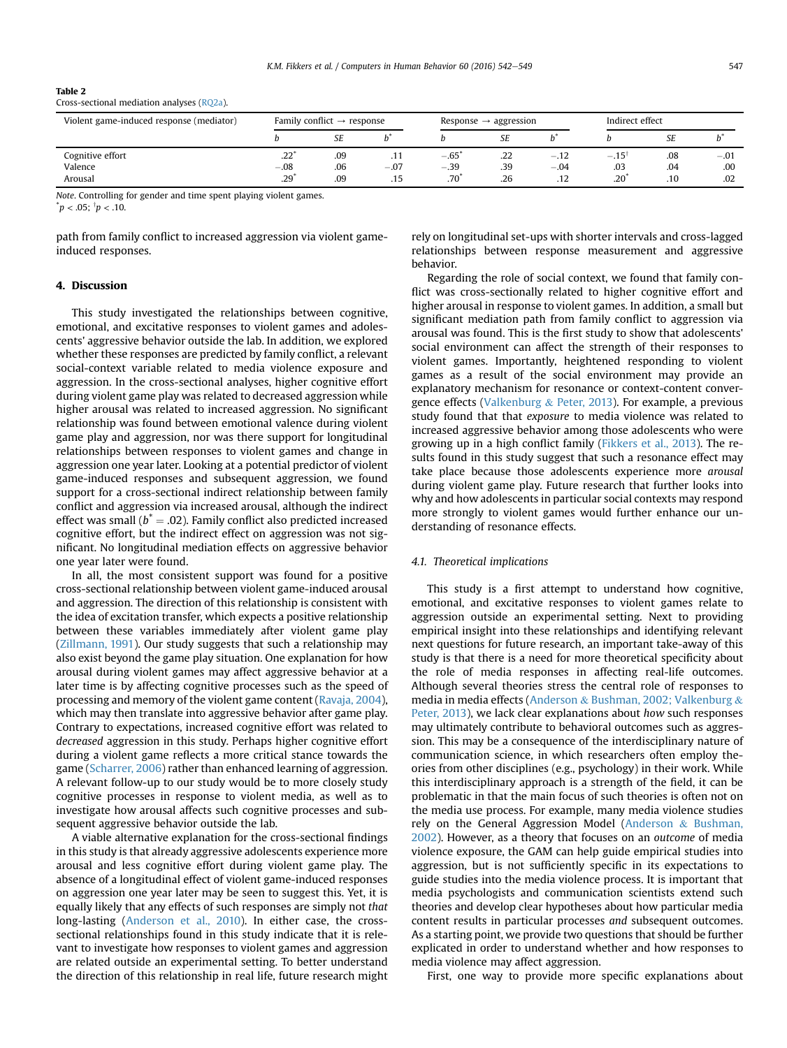| tavit 4                                    |  |  |
|--------------------------------------------|--|--|
| Cross-sectional mediation analyses (RQ2a). |  |  |

| Violent game-induced response (mediator) | Family conflict $\rightarrow$ response |           |        | Response $\rightarrow$ aggression |     |        | Indirect effect  |     |        |
|------------------------------------------|----------------------------------------|-----------|--------|-----------------------------------|-----|--------|------------------|-----|--------|
|                                          |                                        | <b>SE</b> |        |                                   | SE  |        |                  | ЪĿ  |        |
| Cognitive effort                         | $.22^{\circ}$                          | .09       | .      | $-.65$                            | .22 | $-.12$ | $-.15$           | .08 | $-.01$ |
| Valence                                  | $-.08$                                 | .06       | $-.07$ | $-.39$                            | .39 | $-.04$ | .03              | .04 | .00.   |
| Arousal                                  | $.29^{\circ}$                          | .09       | ل 1 ب  | $.70^{\degree}$                   | .26 | .12    | .20 <sup>°</sup> | .10 | .02    |

Note. Controlling for gender and time spent playing violent games.

 $^*p < .05;$   $^{\dagger}p < .10.$ 

<span id="page-5-0"></span>Table 2

path from family conflict to increased aggression via violent gameinduced responses.

## 4. Discussion

This study investigated the relationships between cognitive, emotional, and excitative responses to violent games and adolescents' aggressive behavior outside the lab. In addition, we explored whether these responses are predicted by family conflict, a relevant social-context variable related to media violence exposure and aggression. In the cross-sectional analyses, higher cognitive effort during violent game play was related to decreased aggression while higher arousal was related to increased aggression. No significant relationship was found between emotional valence during violent game play and aggression, nor was there support for longitudinal relationships between responses to violent games and change in aggression one year later. Looking at a potential predictor of violent game-induced responses and subsequent aggression, we found support for a cross-sectional indirect relationship between family conflict and aggression via increased arousal, although the indirect effect was small ( $b^* = .02$ ). Family conflict also predicted increased cognitive effort, but the indirect effect on aggression was not significant. No longitudinal mediation effects on aggressive behavior one year later were found.

In all, the most consistent support was found for a positive cross-sectional relationship between violent game-induced arousal and aggression. The direction of this relationship is consistent with the idea of excitation transfer, which expects a positive relationship between these variables immediately after violent game play ([Zillmann, 1991](#page-7-0)). Our study suggests that such a relationship may also exist beyond the game play situation. One explanation for how arousal during violent games may affect aggressive behavior at a later time is by affecting cognitive processes such as the speed of processing and memory of the violent game content ([Ravaja, 2004\)](#page-7-0), which may then translate into aggressive behavior after game play. Contrary to expectations, increased cognitive effort was related to decreased aggression in this study. Perhaps higher cognitive effort during a violent game reflects a more critical stance towards the game ([Scharrer, 2006](#page-7-0)) rather than enhanced learning of aggression. A relevant follow-up to our study would be to more closely study cognitive processes in response to violent media, as well as to investigate how arousal affects such cognitive processes and subsequent aggressive behavior outside the lab.

A viable alternative explanation for the cross-sectional findings in this study is that already aggressive adolescents experience more arousal and less cognitive effort during violent game play. The absence of a longitudinal effect of violent game-induced responses on aggression one year later may be seen to suggest this. Yet, it is equally likely that any effects of such responses are simply not that long-lasting [\(Anderson et al., 2010](#page-6-0)). In either case, the crosssectional relationships found in this study indicate that it is relevant to investigate how responses to violent games and aggression are related outside an experimental setting. To better understand the direction of this relationship in real life, future research might rely on longitudinal set-ups with shorter intervals and cross-lagged relationships between response measurement and aggressive behavior.

Regarding the role of social context, we found that family conflict was cross-sectionally related to higher cognitive effort and higher arousal in response to violent games. In addition, a small but significant mediation path from family conflict to aggression via arousal was found. This is the first study to show that adolescents' social environment can affect the strength of their responses to violent games. Importantly, heightened responding to violent games as a result of the social environment may provide an explanatory mechanism for resonance or context-content convergence effects [\(Valkenburg](#page-7-0) & [Peter, 2013\)](#page-7-0). For example, a previous study found that that exposure to media violence was related to increased aggressive behavior among those adolescents who were growing up in a high conflict family ([Fikkers et al., 2013](#page-7-0)). The results found in this study suggest that such a resonance effect may take place because those adolescents experience more arousal during violent game play. Future research that further looks into why and how adolescents in particular social contexts may respond more strongly to violent games would further enhance our understanding of resonance effects.

#### 4.1. Theoretical implications

This study is a first attempt to understand how cognitive, emotional, and excitative responses to violent games relate to aggression outside an experimental setting. Next to providing empirical insight into these relationships and identifying relevant next questions for future research, an important take-away of this study is that there is a need for more theoretical specificity about the role of media responses in affecting real-life outcomes. Although several theories stress the central role of responses to media in media effects [\(Anderson](#page-6-0) & [Bushman, 2002; Valkenburg](#page-6-0) & [Peter, 2013](#page-6-0)), we lack clear explanations about how such responses may ultimately contribute to behavioral outcomes such as aggression. This may be a consequence of the interdisciplinary nature of communication science, in which researchers often employ theories from other disciplines (e.g., psychology) in their work. While this interdisciplinary approach is a strength of the field, it can be problematic in that the main focus of such theories is often not on the media use process. For example, many media violence studies rely on the General Aggression Model [\(Anderson](#page-6-0)  $\&$  [Bushman,](#page-6-0) [2002\)](#page-6-0). However, as a theory that focuses on an outcome of media violence exposure, the GAM can help guide empirical studies into aggression, but is not sufficiently specific in its expectations to guide studies into the media violence process. It is important that media psychologists and communication scientists extend such theories and develop clear hypotheses about how particular media content results in particular processes and subsequent outcomes. As a starting point, we provide two questions that should be further explicated in order to understand whether and how responses to media violence may affect aggression.

First, one way to provide more specific explanations about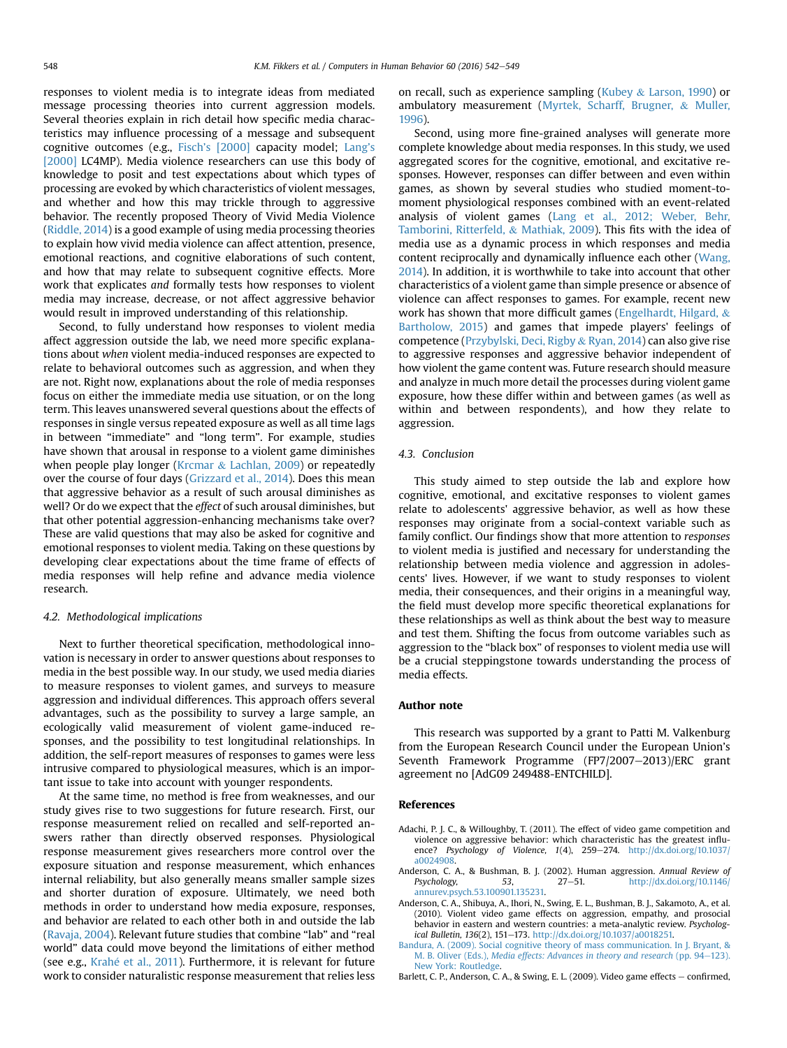<span id="page-6-0"></span>responses to violent media is to integrate ideas from mediated message processing theories into current aggression models. Several theories explain in rich detail how specific media characteristics may influence processing of a message and subsequent cognitive outcomes (e.g., Fisch'[s \[2000\]](#page-7-0) capacity model; [Lang](#page-7-0)'s [\[2000\]](#page-7-0) LC4MP). Media violence researchers can use this body of knowledge to posit and test expectations about which types of processing are evoked by which characteristics of violent messages, and whether and how this may trickle through to aggressive behavior. The recently proposed Theory of Vivid Media Violence ([Riddle, 2014\)](#page-7-0) is a good example of using media processing theories to explain how vivid media violence can affect attention, presence, emotional reactions, and cognitive elaborations of such content, and how that may relate to subsequent cognitive effects. More work that explicates and formally tests how responses to violent media may increase, decrease, or not affect aggressive behavior would result in improved understanding of this relationship.

Second, to fully understand how responses to violent media affect aggression outside the lab, we need more specific explanations about when violent media-induced responses are expected to relate to behavioral outcomes such as aggression, and when they are not. Right now, explanations about the role of media responses focus on either the immediate media use situation, or on the long term. This leaves unanswered several questions about the effects of responses in single versus repeated exposure as well as all time lags in between "immediate" and "long term". For example, studies have shown that arousal in response to a violent game diminishes when people play longer [\(Krcmar](#page-7-0) & [Lachlan, 2009\)](#page-7-0) or repeatedly over the course of four days [\(Grizzard et al., 2014](#page-7-0)). Does this mean that aggressive behavior as a result of such arousal diminishes as well? Or do we expect that the effect of such arousal diminishes, but that other potential aggression-enhancing mechanisms take over? These are valid questions that may also be asked for cognitive and emotional responses to violent media. Taking on these questions by developing clear expectations about the time frame of effects of media responses will help refine and advance media violence research.

#### 4.2. Methodological implications

Next to further theoretical specification, methodological innovation is necessary in order to answer questions about responses to media in the best possible way. In our study, we used media diaries to measure responses to violent games, and surveys to measure aggression and individual differences. This approach offers several advantages, such as the possibility to survey a large sample, an ecologically valid measurement of violent game-induced responses, and the possibility to test longitudinal relationships. In addition, the self-report measures of responses to games were less intrusive compared to physiological measures, which is an important issue to take into account with younger respondents.

At the same time, no method is free from weaknesses, and our study gives rise to two suggestions for future research. First, our response measurement relied on recalled and self-reported answers rather than directly observed responses. Physiological response measurement gives researchers more control over the exposure situation and response measurement, which enhances internal reliability, but also generally means smaller sample sizes and shorter duration of exposure. Ultimately, we need both methods in order to understand how media exposure, responses, and behavior are related to each other both in and outside the lab ([Ravaja, 2004](#page-7-0)). Relevant future studies that combine "lab" and "real world" data could move beyond the limitations of either method (see e.g., [Krah](#page-7-0)é [et al., 2011](#page-7-0)). Furthermore, it is relevant for future work to consider naturalistic response measurement that relies less on recall, such as experience sampling ([Kubey](#page-7-0) & [Larson, 1990\)](#page-7-0) or ambulatory measurement ([Myrtek, Scharff, Brugner,](#page-7-0) & [Muller,](#page-7-0) [1996](#page-7-0)).

Second, using more fine-grained analyses will generate more complete knowledge about media responses. In this study, we used aggregated scores for the cognitive, emotional, and excitative responses. However, responses can differ between and even within games, as shown by several studies who studied moment-tomoment physiological responses combined with an event-related analysis of violent games [\(Lang et al., 2012; Weber, Behr,](#page-7-0) [Tamborini, Ritterfeld,](#page-7-0) & [Mathiak, 2009](#page-7-0)). This fits with the idea of media use as a dynamic process in which responses and media content reciprocally and dynamically influence each other ([Wang,](#page-7-0) [2014\)](#page-7-0). In addition, it is worthwhile to take into account that other characteristics of a violent game than simple presence or absence of violence can affect responses to games. For example, recent new work has shown that more difficult games ([Engelhardt, Hilgard,](#page-7-0)  $\&$ [Bartholow, 2015\)](#page-7-0) and games that impede players' feelings of competence [\(Przybylski, Deci, Rigby](#page-7-0) & [Ryan, 2014\)](#page-7-0) can also give rise to aggressive responses and aggressive behavior independent of how violent the game content was. Future research should measure and analyze in much more detail the processes during violent game exposure, how these differ within and between games (as well as within and between respondents), and how they relate to aggression.

## 4.3. Conclusion

This study aimed to step outside the lab and explore how cognitive, emotional, and excitative responses to violent games relate to adolescents' aggressive behavior, as well as how these responses may originate from a social-context variable such as family conflict. Our findings show that more attention to responses to violent media is justified and necessary for understanding the relationship between media violence and aggression in adolescents' lives. However, if we want to study responses to violent media, their consequences, and their origins in a meaningful way, the field must develop more specific theoretical explanations for these relationships as well as think about the best way to measure and test them. Shifting the focus from outcome variables such as aggression to the "black box" of responses to violent media use will be a crucial steppingstone towards understanding the process of media effects.

#### Author note

This research was supported by a grant to Patti M. Valkenburg from the European Research Council under the European Union's Seventh Framework Programme (FP7/2007-2013)/ERC grant agreement no [AdG09 249488-ENTCHILD].

### References

- Adachi, P. J. C., & Willoughby, T. (2011). The effect of video game competition and violence on aggressive behavior: which characteristic has the greatest influence? Psychology of Violence,  $1(4)$ , 259-274. [http://dx.doi.org/10.1037/](http://dx.doi.org/10.1037/a0024908) [a0024908.](http://dx.doi.org/10.1037/a0024908)
- Anderson, C. A., & Bushman, B. J. (2002). Human aggression. Annual Review of Psychology, 53, 27–51. [http://dx.doi.org/10.1146/](http://dx.doi.org/10.1146/annurev.psych.53.100901.135231) [annurev.psych.53.100901.135231.](http://dx.doi.org/10.1146/annurev.psych.53.100901.135231)
- Anderson, C. A., Shibuya, A., Ihori, N., Swing, E. L., Bushman, B. J., Sakamoto, A., et al. (2010). Violent video game effects on aggression, empathy, and prosocial behavior in eastern and western countries: a meta-analytic review. Psychological Bulletin, 136(2), 151-173. [http://dx.doi.org/10.1037/a0018251.](http://dx.doi.org/10.1037/a0018251)
- [Bandura, A. \(2009\). Social cognitive theory of mass communication. In J. Bryant, &](http://refhub.elsevier.com/S0747-5632(16)30107-8/sref4) M. B. Oliver (Eds.), [Media effects: Advances in theory and research](http://refhub.elsevier.com/S0747-5632(16)30107-8/sref4) (pp. 94-[123\).](http://refhub.elsevier.com/S0747-5632(16)30107-8/sref4) [New York: Routledge](http://refhub.elsevier.com/S0747-5632(16)30107-8/sref4).
- Barlett, C. P., Anderson, C. A., & Swing, E. L. (2009). Video game effects confirmed,